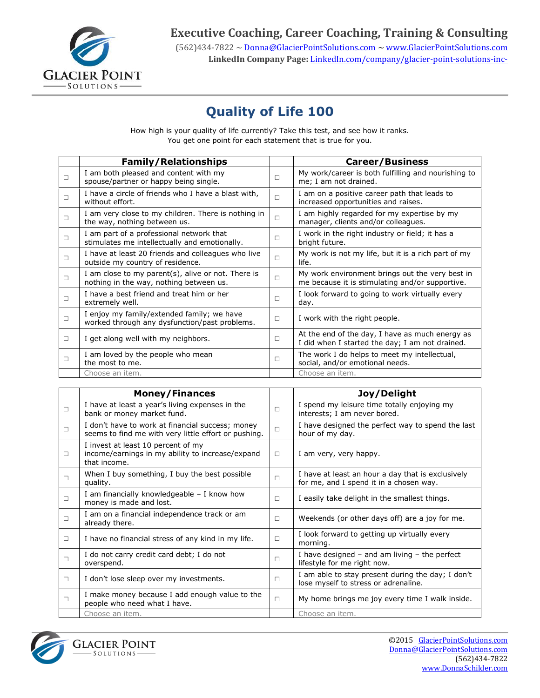

## **Executive Coaching, Career Coaching, Training & Consulting**

(562)434-7822 ~ Donna@GlacierPointSolutions.com ~ www.GlacierPointSolutions.com **LinkedIn Company Page:** LinkedIn.com/company/glacier-point-solutions-inc-

# **Quality of Life 100**

How high is your quality of life currently? Take this test, and see how it ranks. You get one point for each statement that is true for you.

|        | <b>Family/Relationships</b>                                                                   |        | <b>Career/Business</b>                                                                             |
|--------|-----------------------------------------------------------------------------------------------|--------|----------------------------------------------------------------------------------------------------|
| $\Box$ | I am both pleased and content with my<br>spouse/partner or happy being single.                | $\Box$ | My work/career is both fulfilling and nourishing to<br>me; I am not drained.                       |
| П      | I have a circle of friends who I have a blast with,<br>without effort.                        | $\Box$ | I am on a positive career path that leads to<br>increased opportunities and raises.                |
| П      | I am very close to my children. There is nothing in<br>the way, nothing between us.           | $\Box$ | I am highly regarded for my expertise by my<br>manager, clients and/or colleagues.                 |
| П      | I am part of a professional network that<br>stimulates me intellectually and emotionally.     | $\Box$ | I work in the right industry or field; it has a<br>bright future.                                  |
| □      | I have at least 20 friends and colleagues who live<br>outside my country of residence.        | $\Box$ | My work is not my life, but it is a rich part of my<br>life.                                       |
| П      | I am close to my parent(s), alive or not. There is<br>nothing in the way, nothing between us. | $\Box$ | My work environment brings out the very best in<br>me because it is stimulating and/or supportive. |
| П      | I have a best friend and treat him or her<br>extremely well.                                  | $\Box$ | I look forward to going to work virtually every<br>day.                                            |
| П      | I enjoy my family/extended family; we have<br>worked through any dysfunction/past problems.   | $\Box$ | I work with the right people.                                                                      |
| $\Box$ | I get along well with my neighbors.                                                           | $\Box$ | At the end of the day, I have as much energy as<br>I did when I started the day; I am not drained. |
| H      | I am loved by the people who mean<br>the most to me.                                          | $\Box$ | The work I do helps to meet my intellectual,<br>social, and/or emotional needs.                    |
|        | Choose an item.                                                                               |        | Choose an item.                                                                                    |

|        | <b>Money/Finances</b>                                                                                    |        | Joy/Delight                                                                                  |
|--------|----------------------------------------------------------------------------------------------------------|--------|----------------------------------------------------------------------------------------------|
| $\Box$ | I have at least a year's living expenses in the<br>bank or money market fund.                            | $\Box$ | I spend my leisure time totally enjoying my<br>interests; I am never bored.                  |
| $\Box$ | I don't have to work at financial success; money<br>seems to find me with very little effort or pushing. | $\Box$ | I have designed the perfect way to spend the last<br>hour of my day.                         |
| $\Box$ | I invest at least 10 percent of my<br>income/earnings in my ability to increase/expand<br>that income.   | □      | I am very, very happy.                                                                       |
| □      | When I buy something, I buy the best possible<br>quality.                                                | $\Box$ | I have at least an hour a day that is exclusively<br>for me, and I spend it in a chosen way. |
| $\Box$ | I am financially knowledgeable $-$ I know how<br>money is made and lost.                                 | $\Box$ | I easily take delight in the smallest things.                                                |
| $\Box$ | I am on a financial independence track or am<br>already there.                                           | $\Box$ | Weekends (or other days off) are a joy for me.                                               |
| □      | I have no financial stress of any kind in my life.                                                       | $\Box$ | I look forward to getting up virtually every<br>morning.                                     |
| П      | I do not carry credit card debt; I do not<br>overspend.                                                  | $\Box$ | I have designed $-$ and am living $-$ the perfect<br>lifestyle for me right now.             |
| $\Box$ | I don't lose sleep over my investments.                                                                  | $\Box$ | I am able to stay present during the day; I don't<br>lose myself to stress or adrenaline.    |
| П      | I make money because I add enough value to the<br>people who need what I have.                           | $\Box$ | My home brings me joy every time I walk inside.                                              |
|        | Choose an item.                                                                                          |        | Choose an item.                                                                              |

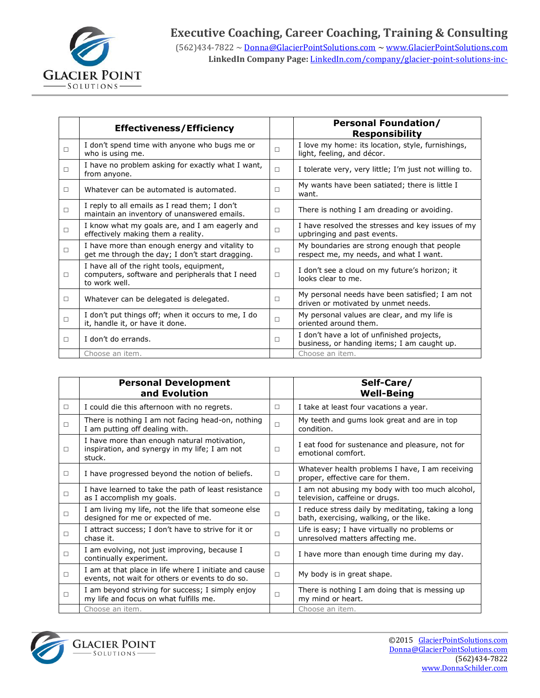

## **Executive Coaching, Career Coaching, Training & Consulting**

(562)434-7822 ~ Donna@GlacierPointSolutions.com ~ www.GlacierPointSolutions.com **LinkedIn Company Page:** LinkedIn.com/company/glacier-point-solutions-inc-

|        | <b>Effectiveness/Efficiency</b>                                                                               |        | <b>Personal Foundation/</b><br><b>Responsibility</b>                                      |
|--------|---------------------------------------------------------------------------------------------------------------|--------|-------------------------------------------------------------------------------------------|
| □      | I don't spend time with anyone who bugs me or<br>who is using me.                                             | $\Box$ | I love my home: its location, style, furnishings,<br>light, feeling, and décor.           |
| □      | I have no problem asking for exactly what I want,<br>from anyone.                                             | $\Box$ | I tolerate very, very little; I'm just not willing to.                                    |
| П      | Whatever can be automated is automated.                                                                       | $\Box$ | My wants have been satiated; there is little I<br>want.                                   |
| П.     | I reply to all emails as I read them; I don't<br>maintain an inventory of unanswered emails.                  | $\Box$ | There is nothing I am dreading or avoiding.                                               |
| $\Box$ | I know what my goals are, and I am eagerly and<br>effectively making them a reality.                          | $\Box$ | I have resolved the stresses and key issues of my<br>upbringing and past events.          |
| П.     | I have more than enough energy and vitality to<br>get me through the day; I don't start dragging.             | П      | My boundaries are strong enough that people<br>respect me, my needs, and what I want.     |
| П      | I have all of the right tools, equipment,<br>computers, software and peripherals that I need<br>to work well. | $\Box$ | I don't see a cloud on my future's horizon; it<br>looks clear to me.                      |
| $\Box$ | Whatever can be delegated is delegated.                                                                       | $\Box$ | My personal needs have been satisfied; I am not<br>driven or motivated by unmet needs.    |
| □      | I don't put things off; when it occurs to me, I do<br>it, handle it, or have it done.                         | П      | My personal values are clear, and my life is<br>oriented around them.                     |
| $\Box$ | I don't do errands.                                                                                           | $\Box$ | I don't have a lot of unfinished projects,<br>business, or handing items; I am caught up. |
|        | Choose an item.                                                                                               |        | Choose an item.                                                                           |

|        | <b>Personal Development</b><br>and Evolution                                                             |        | Self-Care/<br><b>Well-Being</b>                                                               |
|--------|----------------------------------------------------------------------------------------------------------|--------|-----------------------------------------------------------------------------------------------|
| $\Box$ | I could die this afternoon with no regrets.                                                              | $\Box$ | I take at least four vacations a year.                                                        |
| $\Box$ | There is nothing I am not facing head-on, nothing<br>I am putting off dealing with.                      | $\Box$ | My teeth and gums look great and are in top<br>condition.                                     |
| $\Box$ | I have more than enough natural motivation,<br>inspiration, and synergy in my life; I am not<br>stuck.   | □      | I eat food for sustenance and pleasure, not for<br>emotional comfort.                         |
| $\Box$ | I have progressed beyond the notion of beliefs.                                                          | $\Box$ | Whatever health problems I have, I am receiving<br>proper, effective care for them.           |
| $\Box$ | I have learned to take the path of least resistance<br>as I accomplish my goals.                         | $\Box$ | I am not abusing my body with too much alcohol,<br>television, caffeine or drugs.             |
| $\Box$ | I am living my life, not the life that someone else<br>designed for me or expected of me.                | $\Box$ | I reduce stress daily by meditating, taking a long<br>bath, exercising, walking, or the like. |
| $\Box$ | I attract success; I don't have to strive for it or<br>chase it.                                         | $\Box$ | Life is easy; I have virtually no problems or<br>unresolved matters affecting me.             |
| $\Box$ | I am evolving, not just improving, because I<br>continually experiment.                                  | $\Box$ | I have more than enough time during my day.                                                   |
| $\Box$ | I am at that place in life where I initiate and cause<br>events, not wait for others or events to do so. | $\Box$ | My body is in great shape.                                                                    |
| П      | I am beyond striving for success; I simply enjoy<br>my life and focus on what fulfills me.               | $\Box$ | There is nothing I am doing that is messing up<br>my mind or heart.                           |
|        | Choose an item.                                                                                          |        | Choose an item.                                                                               |